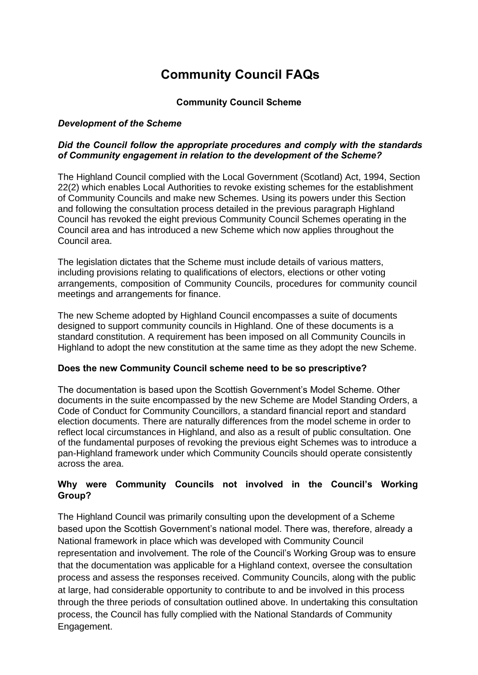# **Community Council FAQs**

# **Community Council Scheme**

# *Development of the Scheme*

# *Did the Council follow the appropriate procedures and comply with the standards of Community engagement in relation to the development of the Scheme?*

The Highland Council complied with the Local Government (Scotland) Act, 1994, Section 22(2) which enables Local Authorities to revoke existing schemes for the establishment of Community Councils and make new Schemes. Using its powers under this Section and following the consultation process detailed in the previous paragraph Highland Council has revoked the eight previous Community Council Schemes operating in the Council area and has introduced a new Scheme which now applies throughout the Council area.

The legislation dictates that the Scheme must include details of various matters, including provisions relating to qualifications of electors, elections or other voting arrangements, composition of Community Councils, procedures for community council meetings and arrangements for finance.

The new Scheme adopted by Highland Council encompasses a suite of documents designed to support community councils in Highland. One of these documents is a standard constitution. A requirement has been imposed on all Community Councils in Highland to adopt the new constitution at the same time as they adopt the new Scheme.

#### **Does the new Community Council scheme need to be so prescriptive?**

The documentation is based upon the Scottish Government's Model Scheme. Other documents in the suite encompassed by the new Scheme are Model Standing Orders, a Code of Conduct for Community Councillors, a standard financial report and standard election documents. There are naturally differences from the model scheme in order to reflect local circumstances in Highland, and also as a result of public consultation. One of the fundamental purposes of revoking the previous eight Schemes was to introduce a pan-Highland framework under which Community Councils should operate consistently across the area.

# **Why were Community Councils not involved in the Council's Working Group?**

The Highland Council was primarily consulting upon the development of a Scheme based upon the Scottish Government's national model. There was, therefore, already a National framework in place which was developed with Community Council representation and involvement. The role of the Council's Working Group was to ensure that the documentation was applicable for a Highland context, oversee the consultation process and assess the responses received. Community Councils, along with the public at large, had considerable opportunity to contribute to and be involved in this process through the three periods of consultation outlined above. In undertaking this consultation process, the Council has fully complied with the National Standards of Community Engagement.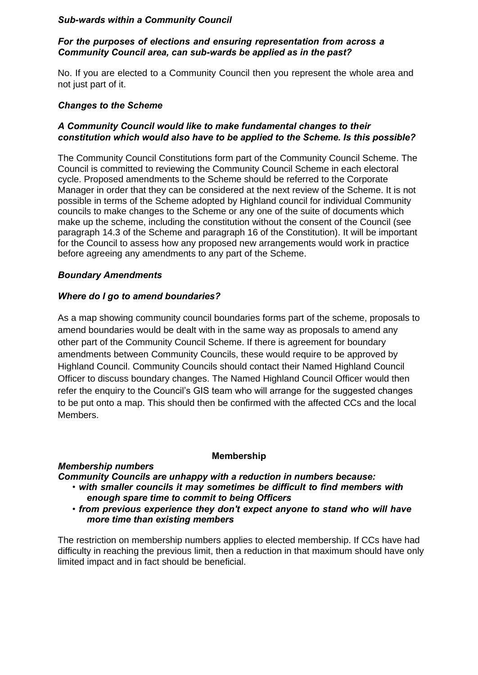# *Sub-wards within a Community Council*

#### *For the purposes of elections and ensuring representation from across a Community Council area, can sub-wards be applied as in the past?*

No. If you are elected to a Community Council then you represent the whole area and not just part of it.

#### *Changes to the Scheme*

# *A Community Council would like to make fundamental changes to their constitution which would also have to be applied to the Scheme. Is this possible?*

The Community Council Constitutions form part of the Community Council Scheme. The Council is committed to reviewing the Community Council Scheme in each electoral cycle. Proposed amendments to the Scheme should be referred to the Corporate Manager in order that they can be considered at the next review of the Scheme. It is not possible in terms of the Scheme adopted by Highland council for individual Community councils to make changes to the Scheme or any one of the suite of documents which make up the scheme, including the constitution without the consent of the Council (see paragraph 14.3 of the Scheme and paragraph 16 of the Constitution). It will be important for the Council to assess how any proposed new arrangements would work in practice before agreeing any amendments to any part of the Scheme.

# *Boundary Amendments*

# *Where do I go to amend boundaries?*

As a map showing community council boundaries forms part of the scheme, proposals to amend boundaries would be dealt with in the same way as proposals to amend any other part of the Community Council Scheme. If there is agreement for boundary amendments between Community Councils, these would require to be approved by Highland Council. Community Councils should contact their Named Highland Council Officer to discuss boundary changes. The Named Highland Council Officer would then refer the enquiry to the Council's GIS team who will arrange for the suggested changes to be put onto a map. This should then be confirmed with the affected CCs and the local Members.

#### **Membership**

# *Membership numbers*

*Community Councils are unhappy with a reduction in numbers because:* • *with smaller councils it may sometimes be difficult to find members with* 

- *enough spare time to commit to being Officers*
- *from previous experience they don't expect anyone to stand who will have more time than existing members*

The restriction on membership numbers applies to elected membership. If CCs have had difficulty in reaching the previous limit, then a reduction in that maximum should have only limited impact and in fact should be beneficial.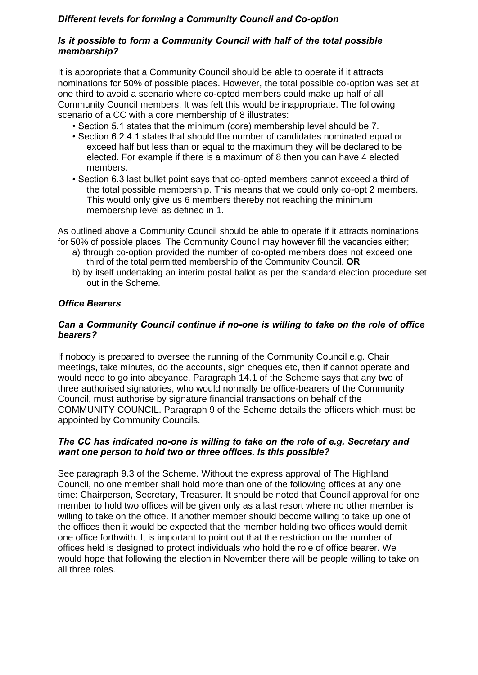# *Different levels for forming a Community Council and Co-option*

# *Is it possible to form a Community Council with half of the total possible membership?*

It is appropriate that a Community Council should be able to operate if it attracts nominations for 50% of possible places. However, the total possible co-option was set at one third to avoid a scenario where co-opted members could make up half of all Community Council members. It was felt this would be inappropriate. The following scenario of a CC with a core membership of 8 illustrates:

- Section 5.1 states that the minimum (core) membership level should be 7.
- Section 6.2.4.1 states that should the number of candidates nominated equal or exceed half but less than or equal to the maximum they will be declared to be elected. For example if there is a maximum of 8 then you can have 4 elected members.
- Section 6.3 last bullet point says that co-opted members cannot exceed a third of the total possible membership. This means that we could only co-opt 2 members. This would only give us 6 members thereby not reaching the minimum membership level as defined in 1.

As outlined above a Community Council should be able to operate if it attracts nominations for 50% of possible places. The Community Council may however fill the vacancies either;

- a) through co-option provided the number of co-opted members does not exceed one third of the total permitted membership of the Community Council. **OR**
- b) by itself undertaking an interim postal ballot as per the standard election procedure set out in the Scheme.

# *Office Bearers*

# *Can a Community Council continue if no-one is willing to take on the role of office bearers?*

If nobody is prepared to oversee the running of the Community Council e.g. Chair meetings, take minutes, do the accounts, sign cheques etc, then if cannot operate and would need to go into abeyance. Paragraph 14.1 of the Scheme says that any two of three authorised signatories, who would normally be office-bearers of the Community Council, must authorise by signature financial transactions on behalf of the COMMUNITY COUNCIL. Paragraph 9 of the Scheme details the officers which must be appointed by Community Councils.

# *The CC has indicated no-one is willing to take on the role of e.g. Secretary and want one person to hold two or three offices. Is this possible?*

See paragraph 9.3 of the Scheme. Without the express approval of The Highland Council, no one member shall hold more than one of the following offices at any one time: Chairperson, Secretary, Treasurer. It should be noted that Council approval for one member to hold two offices will be given only as a last resort where no other member is willing to take on the office. If another member should become willing to take up one of the offices then it would be expected that the member holding two offices would demit one office forthwith. It is important to point out that the restriction on the number of offices held is designed to protect individuals who hold the role of office bearer. We would hope that following the election in November there will be people willing to take on all three roles.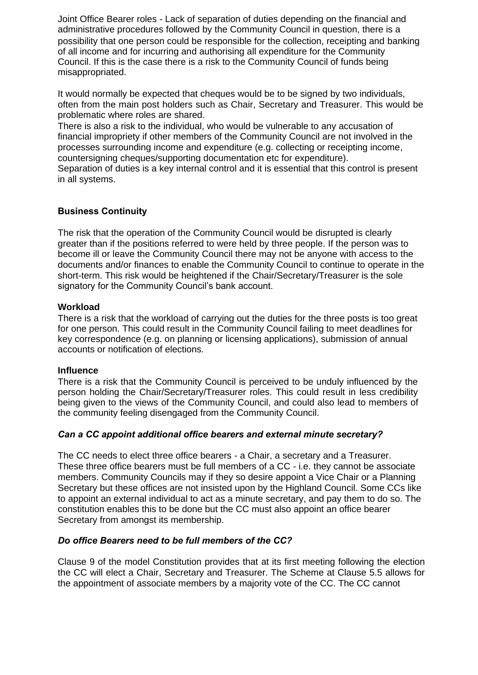Joint Office Bearer roles - Lack of separation of duties depending on the financial and administrative procedures followed by the Community Council in question, there is a possibility that one person could be responsible for the collection, receipting and banking of all income and for incurring and authorising all expenditure for the Community Council. If this is the case there is a risk to the Community Council of funds being misappropriated.

It would normally be expected that cheques would be to be signed by two individuals, often from the main post holders such as Chair, Secretary and Treasurer. This would be problematic where roles are shared.

There is also a risk to the individual, who would be vulnerable to any accusation of financial impropriety if other members of the Community Council are not involved in the processes surrounding income and expenditure (e.g. collecting or receipting income, countersigning cheques/supporting documentation etc for expenditure).

Separation of duties is a key internal control and it is essential that this control is present in all systems.

# **Business Continuity**

The risk that the operation of the Community Council would be disrupted is clearly greater than if the positions referred to were held by three people. If the person was to become ill or leave the Community Council there may not be anyone with access to the documents and/or finances to enable the Community Council to continue to operate in the short-term. This risk would be heightened if the Chair/Secretary/Treasurer is the sole signatory for the Community Council's bank account.

# **Workload**

There is a risk that the workload of carrying out the duties for the three posts is too great for one person. This could result in the Community Council failing to meet deadlines for key correspondence (e.g. on planning or licensing applications), submission of annual accounts or notification of elections.

#### **Influence**

There is a risk that the Community Council is perceived to be unduly influenced by the person holding the Chair/Secretary/Treasurer roles. This could result in less credibility being given to the views of the Community Council, and could also lead to members of the community feeling disengaged from the Community Council.

# *Can a CC appoint additional office bearers and external minute secretary?*

The CC needs to elect three office bearers - a Chair, a secretary and a Treasurer. These three office bearers must be full members of a CC - i.e. they cannot be associate members. Community Councils may if they so desire appoint a Vice Chair or a Planning Secretary but these offices are not insisted upon by the Highland Council. Some CCs like to appoint an external individual to act as a minute secretary, and pay them to do so. The constitution enables this to be done but the CC must also appoint an office bearer Secretary from amongst its membership.

# *Do office Bearers need to be full members of the CC?*

Clause 9 of the model Constitution provides that at its first meeting following the election the CC will elect a Chair, Secretary and Treasurer. The Scheme at Clause 5.5 allows for the appointment of associate members by a majority vote of the CC. The CC cannot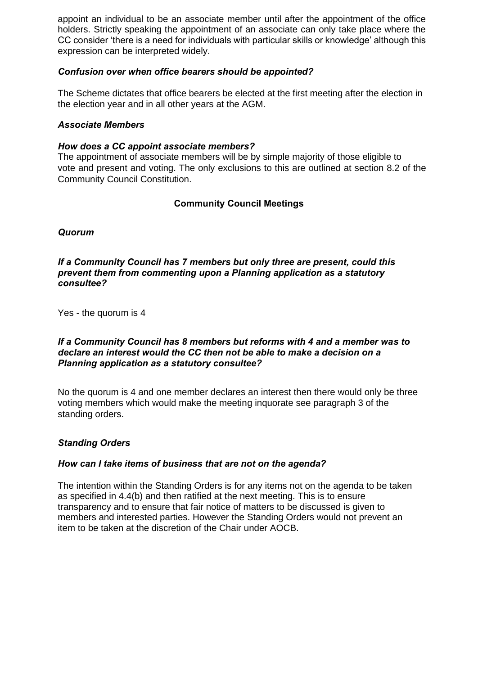appoint an individual to be an associate member until after the appointment of the office holders. Strictly speaking the appointment of an associate can only take place where the CC consider 'there is a need for individuals with particular skills or knowledge' although this expression can be interpreted widely.

# *Confusion over when office bearers should be appointed?*

The Scheme dictates that office bearers be elected at the first meeting after the election in the election year and in all other years at the AGM.

#### *Associate Members*

#### *How does a CC appoint associate members?*

The appointment of associate members will be by simple majority of those eligible to vote and present and voting. The only exclusions to this are outlined at section 8.2 of the Community Council Constitution.

# **Community Council Meetings**

*Quorum*

#### *If a Community Council has 7 members but only three are present, could this prevent them from commenting upon a Planning application as a statutory consultee?*

Yes - the quorum is 4

#### *If a Community Council has 8 members but reforms with 4 and a member was to declare an interest would the CC then not be able to make a decision on a Planning application as a statutory consultee?*

No the quorum is 4 and one member declares an interest then there would only be three voting members which would make the meeting inquorate see paragraph 3 of the standing orders.

# *Standing Orders*

#### *How can I take items of business that are not on the agenda?*

The intention within the Standing Orders is for any items not on the agenda to be taken as specified in 4.4(b) and then ratified at the next meeting. This is to ensure transparency and to ensure that fair notice of matters to be discussed is given to members and interested parties. However the Standing Orders would not prevent an item to be taken at the discretion of the Chair under AOCB.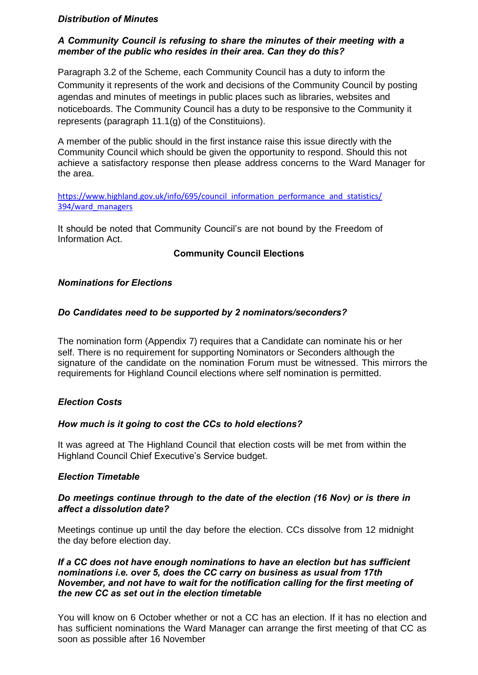# *Distribution of Minutes*

# *A Community Council is refusing to share the minutes of their meeting with a member of the public who resides in their area. Can they do this?*

Paragraph 3.2 of the Scheme, each Community Council has a duty to inform the Community it represents of the work and decisions of the Community Council by posting agendas and minutes of meetings in public places such as libraries, websites and noticeboards. The Community Council has a duty to be responsive to the Community it represents (paragraph 11.1(g) of the Constituions).

A member of the public should in the first instance raise this issue directly with the Community Council which should be given the opportunity to respond. Should this not achieve a satisfactory response then please address concerns to the Ward Manager for the area.

[https://www.highland.gov.uk/info/695/council\\_information\\_performance\\_and\\_statistics/](https://www.highland.gov.uk/info/695/council_information_performance_and_statistics/394/ward_managers) [394/ward\\_managers](https://www.highland.gov.uk/info/695/council_information_performance_and_statistics/394/ward_managers)

It should be noted that Community Council's are not bound by the Freedom of Information Act.

# **Community Council Elections**

#### *Nominations for Elections*

# *Do Candidates need to be supported by 2 nominators/seconders?*

The nomination form (Appendix 7) requires that a Candidate can nominate his or her self. There is no requirement for supporting Nominators or Seconders although the signature of the candidate on the nomination Forum must be witnessed. This mirrors the requirements for Highland Council elections where self nomination is permitted.

#### *Election Costs*

# *How much is it going to cost the CCs to hold elections?*

It was agreed at The Highland Council that election costs will be met from within the Highland Council Chief Executive's Service budget.

#### *Election Timetable*

#### *Do meetings continue through to the date of the election (16 Nov) or is there in affect a dissolution date?*

Meetings continue up until the day before the election. CCs dissolve from 12 midnight the day before election day.

#### *If a CC does not have enough nominations to have an election but has sufficient nominations i.e. over 5, does the CC carry on business as usual from 17th November, and not have to wait for the notification calling for the first meeting of the new CC as set out in the election timetable*

You will know on 6 October whether or not a CC has an election. If it has no election and has sufficient nominations the Ward Manager can arrange the first meeting of that CC as soon as possible after 16 November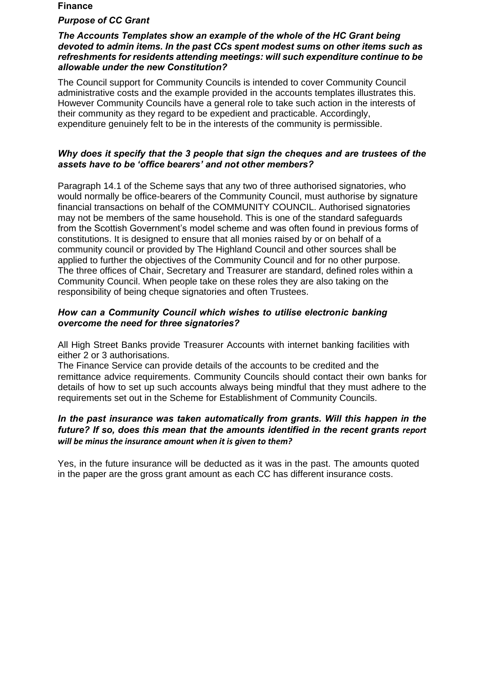#### **Finance**

#### *Purpose of CC Grant*

#### *The Accounts Templates show an example of the whole of the HC Grant being devoted to admin items. In the past CCs spent modest sums on other items such as refreshments for residents attending meetings: will such expenditure continue to be allowable under the new Constitution?*

The Council support for Community Councils is intended to cover Community Council administrative costs and the example provided in the accounts templates illustrates this. However Community Councils have a general role to take such action in the interests of their community as they regard to be expedient and practicable. Accordingly, expenditure genuinely felt to be in the interests of the community is permissible.

#### *Why does it specify that the 3 people that sign the cheques and are trustees of the assets have to be 'office bearers' and not other members?*

Paragraph 14.1 of the Scheme says that any two of three authorised signatories, who would normally be office-bearers of the Community Council, must authorise by signature financial transactions on behalf of the COMMUNITY COUNCIL. Authorised signatories may not be members of the same household. This is one of the standard safeguards from the Scottish Government's model scheme and was often found in previous forms of constitutions. It is designed to ensure that all monies raised by or on behalf of a community council or provided by The Highland Council and other sources shall be applied to further the objectives of the Community Council and for no other purpose. The three offices of Chair, Secretary and Treasurer are standard, defined roles within a Community Council. When people take on these roles they are also taking on the responsibility of being cheque signatories and often Trustees.

#### *How can a Community Council which wishes to utilise electronic banking overcome the need for three signatories?*

All High Street Banks provide Treasurer Accounts with internet banking facilities with either 2 or 3 authorisations.

The Finance Service can provide details of the accounts to be credited and the remittance advice requirements. Community Councils should contact their own banks for details of how to set up such accounts always being mindful that they must adhere to the requirements set out in the Scheme for Establishment of Community Councils.

# *In the past insurance was taken automatically from grants. Will this happen in the*  future? If so, does this mean that the amounts identified in the recent grants report *will be minus the insurance amount when it is given to them?*

Yes, in the future insurance will be deducted as it was in the past. The amounts quoted in the paper are the gross grant amount as each CC has different insurance costs.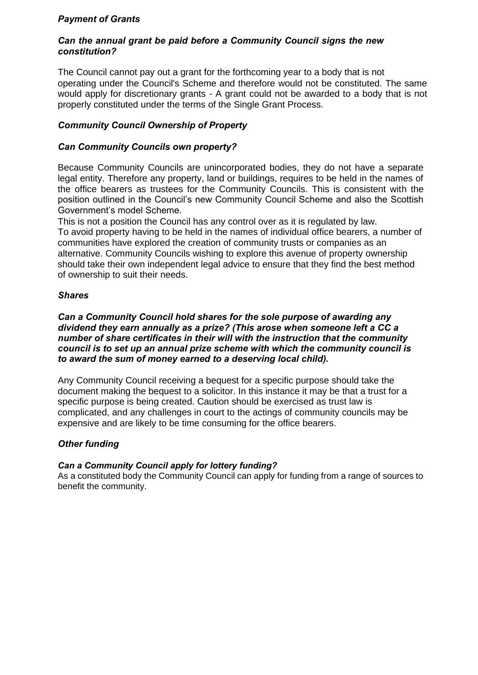# *Payment of Grants*

#### *Can the annual grant be paid before a Community Council signs the new constitution?*

The Council cannot pay out a grant for the forthcoming year to a body that is not operating under the Council's Scheme and therefore would not be constituted. The same would apply for discretionary grants - A grant could not be awarded to a body that is not properly constituted under the terms of the Single Grant Process.

# *Community Council Ownership of Property*

#### *Can Community Councils own property?*

Because Community Councils are unincorporated bodies, they do not have a separate legal entity. Therefore any property, land or buildings, requires to be held in the names of the office bearers as trustees for the Community Councils. This is consistent with the position outlined in the Council's new Community Council Scheme and also the Scottish Government's model Scheme.

This is not a position the Council has any control over as it is regulated by law. To avoid property having to be held in the names of individual office bearers, a number of communities have explored the creation of community trusts or companies as an alternative. Community Councils wishing to explore this avenue of property ownership should take their own independent legal advice to ensure that they find the best method of ownership to suit their needs.

#### *Shares*

*Can a Community Council hold shares for the sole purpose of awarding any dividend they earn annually as a prize? (This arose when someone left a CC a number of share certificates in their will with the instruction that the community council is to set up an annual prize scheme with which the community council is to award the sum of money earned to a deserving local child).*

Any Community Council receiving a bequest for a specific purpose should take the document making the bequest to a solicitor. In this instance it may be that a trust for a specific purpose is being created. Caution should be exercised as trust law is complicated, and any challenges in court to the actings of community councils may be expensive and are likely to be time consuming for the office bearers.

#### *Other funding*

#### *Can a Community Council apply for lottery funding?*

As a constituted body the Community Council can apply for funding from a range of sources to benefit the community.